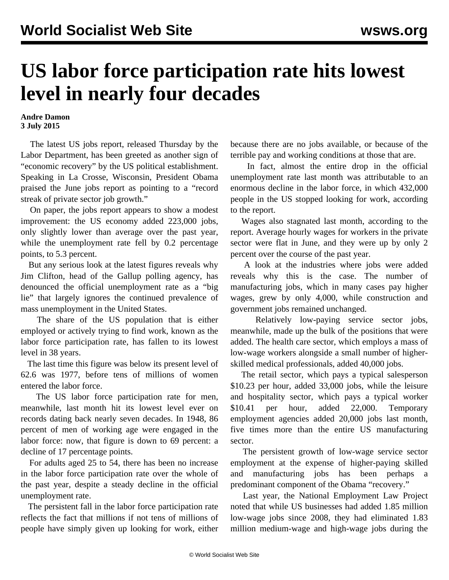## **US labor force participation rate hits lowest level in nearly four decades**

## **Andre Damon 3 July 2015**

 The latest US jobs report, released Thursday by the Labor Department, has been greeted as another sign of "economic recovery" by the US political establishment. Speaking in La Crosse, Wisconsin, President Obama praised the June jobs report as pointing to a "record streak of private sector job growth."

 On paper, the jobs report appears to show a modest improvement: the US economy added 223,000 jobs, only slightly lower than average over the past year, while the unemployment rate fell by 0.2 percentage points, to 5.3 percent.

 But any serious look at the latest figures reveals why Jim Clifton, head of the Gallup polling agency, has denounced the official unemployment rate as a "big lie" that largely ignores the continued prevalence of mass unemployment in the United States.

 The share of the US population that is either employed or actively trying to find work, known as the labor force participation rate, has fallen to its lowest level in 38 years.

 The last time this figure was below its present level of 62.6 was 1977, before tens of millions of women entered the labor force.

 The US labor force participation rate for men, meanwhile, last month hit its lowest level ever on records dating back nearly seven decades. In 1948, 86 percent of men of working age were engaged in the labor force: now, that figure is down to 69 percent: a decline of 17 percentage points.

 For adults aged 25 to 54, there has been no increase in the labor force participation rate over the whole of the past year, despite a steady decline in the official unemployment rate.

 The persistent fall in the labor force participation rate reflects the fact that millions if not tens of millions of people have simply given up looking for work, either because there are no jobs available, or because of the terrible pay and working conditions at those that are.

 In fact, almost the entire drop in the official unemployment rate last month was attributable to an enormous decline in the labor force, in which 432,000 people in the US stopped looking for work, according to the report.

 Wages also stagnated last month, according to the report. Average hourly wages for workers in the private sector were flat in June, and they were up by only 2 percent over the course of the past year.

 A look at the industries where jobs were added reveals why this is the case. The number of manufacturing jobs, which in many cases pay higher wages, grew by only 4,000, while construction and government jobs remained unchanged.

 Relatively low-paying service sector jobs, meanwhile, made up the bulk of the positions that were added. The health care sector, which employs a mass of low-wage workers alongside a small number of higherskilled medical professionals, added 40,000 jobs.

 The retail sector, which pays a typical salesperson \$10.23 per hour, added 33,000 jobs, while the leisure and hospitality sector, which pays a typical worker \$10.41 per hour, added 22,000. Temporary employment agencies added 20,000 jobs last month, five times more than the entire US manufacturing sector.

 The persistent growth of low-wage service sector employment at the expense of higher-paying skilled and manufacturing jobs has been perhaps a predominant component of the Obama "recovery."

 Last year, the National Employment Law Project noted that while US businesses had added 1.85 million low-wage jobs since 2008, they had eliminated 1.83 million medium-wage and high-wage jobs during the